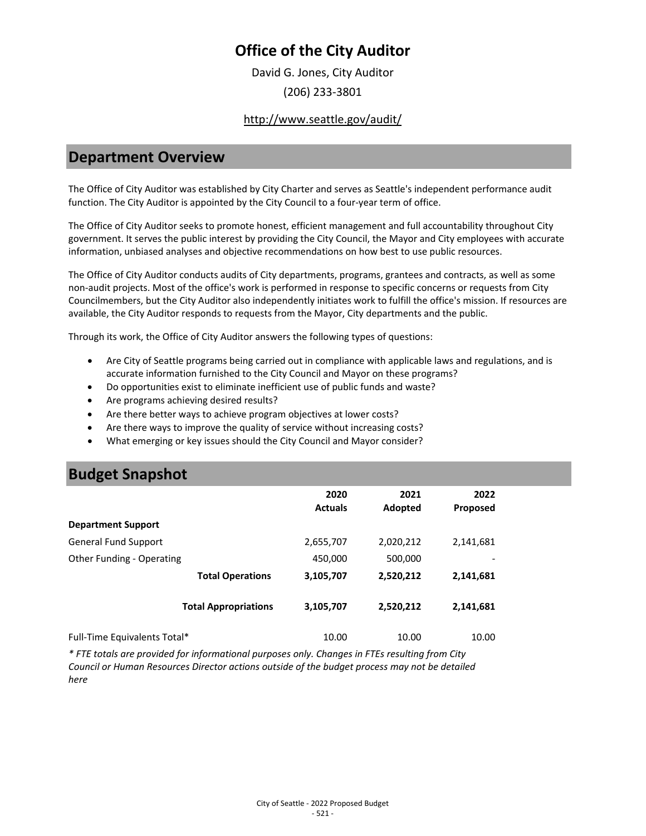# **Office of the City Auditor**

David G. Jones, City Auditor (206) 233-3801

#### <http://www.seattle.gov/audit/>

#### **Department Overview**

The Office of City Auditor was established by City Charter and serves as Seattle's independent performance audit function. The City Auditor is appointed by the City Council to a four-year term of office.

The Office of City Auditor seeks to promote honest, efficient management and full accountability throughout City government. It serves the public interest by providing the City Council, the Mayor and City employees with accurate information, unbiased analyses and objective recommendations on how best to use public resources.

The Office of City Auditor conducts audits of City departments, programs, grantees and contracts, as well as some non-audit projects. Most of the office's work is performed in response to specific concerns or requests from City Councilmembers, but the City Auditor also independently initiates work to fulfill the office's mission. If resources are available, the City Auditor responds to requests from the Mayor, City departments and the public.

Through its work, the Office of City Auditor answers the following types of questions:

- Are City of Seattle programs being carried out in compliance with applicable laws and regulations, and is accurate information furnished to the City Council and Mayor on these programs?
- Do opportunities exist to eliminate inefficient use of public funds and waste?
- Are programs achieving desired results?
- Are there better ways to achieve program objectives at lower costs?
- Are there ways to improve the quality of service without increasing costs?
- What emerging or key issues should the City Council and Mayor consider?

## **Budget Snapshot**

|                              | 2020<br><b>Actuals</b> | 2021<br>Adopted | 2022<br><b>Proposed</b> |
|------------------------------|------------------------|-----------------|-------------------------|
| <b>Department Support</b>    |                        |                 |                         |
| <b>General Fund Support</b>  | 2,655,707              | 2,020,212       | 2,141,681               |
| Other Funding - Operating    | 450,000                | 500,000         |                         |
| <b>Total Operations</b>      | 3,105,707              | 2,520,212       | 2,141,681               |
| <b>Total Appropriations</b>  | 3,105,707              | 2,520,212       | 2,141,681               |
| Full-Time Equivalents Total* | 10.00                  | 10.00           | 10.00                   |

*\* FTE totals are provided for informational purposes only. Changes in FTEs resulting from City Council or Human Resources Director actions outside of the budget process may not be detailed here*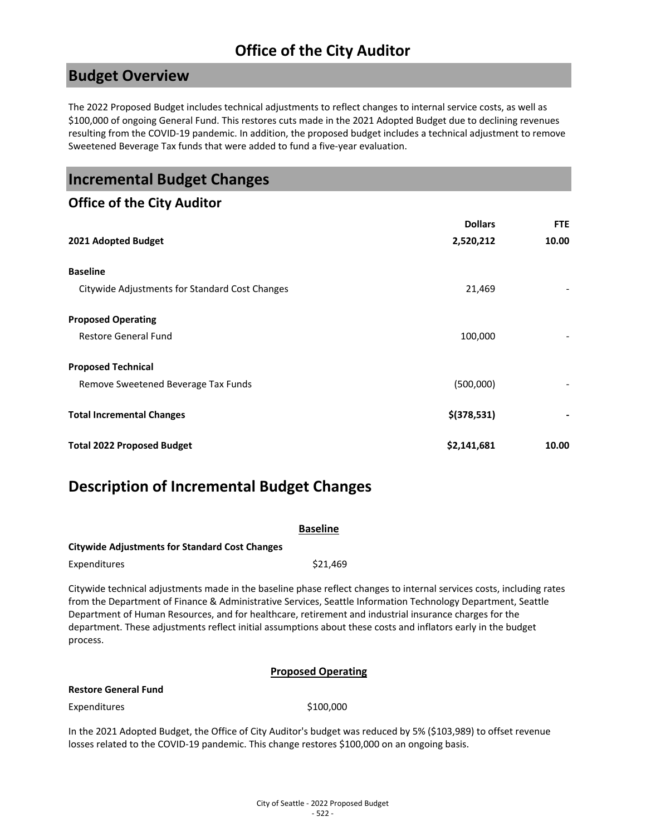# **Office of the City Auditor**

### **Budget Overview**

The 2022 Proposed Budget includes technical adjustments to reflect changes to internal service costs, as well as \$100,000 of ongoing General Fund. This restores cuts made in the 2021 Adopted Budget due to declining revenues resulting from the COVID-19 pandemic. In addition, the proposed budget includes a technical adjustment to remove Sweetened Beverage Tax funds that were added to fund a five-year evaluation.

| <b>Incremental Budget Changes</b>              |                |            |
|------------------------------------------------|----------------|------------|
| <b>Office of the City Auditor</b>              |                |            |
|                                                | <b>Dollars</b> | <b>FTE</b> |
| 2021 Adopted Budget                            | 2,520,212      | 10.00      |
| <b>Baseline</b>                                |                |            |
| Citywide Adjustments for Standard Cost Changes | 21,469         |            |
| <b>Proposed Operating</b>                      |                |            |
| <b>Restore General Fund</b>                    | 100,000        |            |
| <b>Proposed Technical</b>                      |                |            |
| Remove Sweetened Beverage Tax Funds            | (500,000)      |            |
| <b>Total Incremental Changes</b>               | $$$ (378,531)  |            |
| <b>Total 2022 Proposed Budget</b>              | \$2,141,681    | 10.00      |

## **Description of Incremental Budget Changes**

| <b>Baseline</b>                                       |                                                                                                                                                                                                                                                                                                                                                                                                                                                                  |  |  |
|-------------------------------------------------------|------------------------------------------------------------------------------------------------------------------------------------------------------------------------------------------------------------------------------------------------------------------------------------------------------------------------------------------------------------------------------------------------------------------------------------------------------------------|--|--|
| <b>Citywide Adjustments for Standard Cost Changes</b> |                                                                                                                                                                                                                                                                                                                                                                                                                                                                  |  |  |
| Expenditures                                          | \$21,469                                                                                                                                                                                                                                                                                                                                                                                                                                                         |  |  |
| process.                                              | Citywide technical adjustments made in the baseline phase reflect changes to internal services costs, including rates<br>from the Department of Finance & Administrative Services, Seattle Information Technology Department, Seattle<br>Department of Human Resources, and for healthcare, retirement and industrial insurance charges for the<br>department. These adjustments reflect initial assumptions about these costs and inflators early in the budget |  |  |

#### **Proposed Operating**

#### **Restore General Fund**

Expenditures \$100,000

In the 2021 Adopted Budget, the Office of City Auditor's budget was reduced by 5% (\$103,989) to offset revenue losses related to the COVID-19 pandemic. This change restores \$100,000 on an ongoing basis.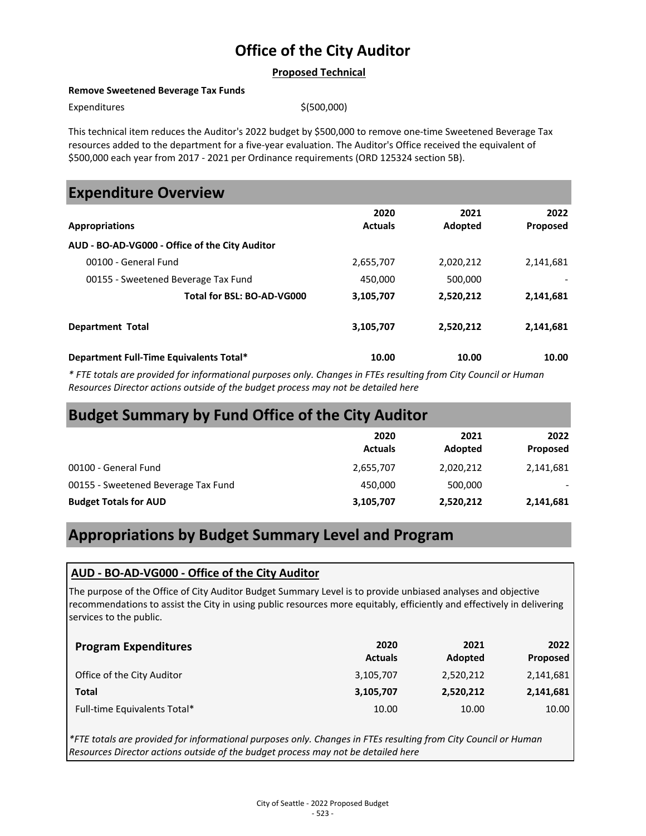# **Office of the City Auditor**

#### **Proposed Technical**

#### **Remove Sweetened Beverage Tax Funds**

 $Expenditures$   $\zeta(500,000)$ 

This technical item reduces the Auditor's 2022 budget by \$500,000 to remove one-time Sweetened Beverage Tax resources added to the department for a five-year evaluation. The Auditor's Office received the equivalent of \$500,000 each year from 2017 - 2021 per Ordinance requirements (ORD 125324 section 5B).

### **Expenditure Overview**

| <b>Appropriations</b>                          | 2020<br><b>Actuals</b> | 2021<br>Adopted | 2022<br>Proposed |
|------------------------------------------------|------------------------|-----------------|------------------|
| AUD - BO-AD-VG000 - Office of the City Auditor |                        |                 |                  |
| 00100 - General Fund                           | 2,655,707              | 2,020,212       | 2,141,681        |
| 00155 - Sweetened Beverage Tax Fund            | 450.000                | 500,000         |                  |
| Total for BSL: BO-AD-VG000                     | 3,105,707              | 2,520,212       | 2,141,681        |
| <b>Department Total</b>                        | 3,105,707              | 2,520,212       | 2,141,681        |
| Department Full-Time Equivalents Total*        | 10.00                  | 10.00           | 10.00            |

*\* FTE totals are provided for informational purposes only. Changes in FTEs resulting from City Council or Human Resources Director actions outside of the budget process may not be detailed here*

# **Budget Summary by Fund Office of the City Auditor**

|                                     | 2020<br><b>Actuals</b> | 2021<br>Adopted | 2022<br>Proposed |
|-------------------------------------|------------------------|-----------------|------------------|
| 00100 - General Fund                | 2,655,707              | 2,020,212       | 2,141,681        |
| 00155 - Sweetened Beverage Tax Fund | 450.000                | 500.000         |                  |
| <b>Budget Totals for AUD</b>        | 3,105,707              | 2,520,212       | 2,141,681        |

## **Appropriations by Budget Summary Level and Program**

#### **AUD - BO-AD-VG000 - Office of the City Auditor**

The purpose of the Office of City Auditor Budget Summary Level is to provide unbiased analyses and objective recommendations to assist the City in using public resources more equitably, efficiently and effectively in delivering services to the public.

| <b>Program Expenditures</b>  | 2020<br><b>Actuals</b> | 2021<br>Adopted | 2022<br>Proposed |
|------------------------------|------------------------|-----------------|------------------|
| Office of the City Auditor   | 3,105,707              | 2,520,212       | 2,141,681        |
| Total                        | 3,105,707              | 2,520,212       | 2,141,681        |
| Full-time Equivalents Total* | 10.00                  | 10.00           | 10.00            |

*\*FTE totals are provided for informational purposes only. Changes in FTEs resulting from City Council or Human Resources Director actions outside of the budget process may not be detailed here*